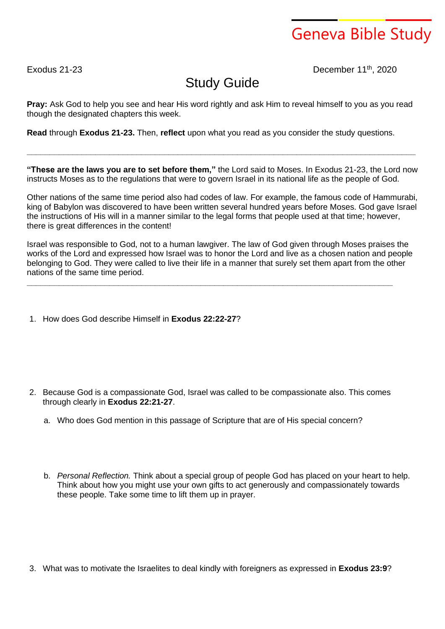## Geneva Bible Study

Exodus 21-23 December 11<sup>th</sup>, 2020

## Study Guide

**Pray:** Ask God to help you see and hear His word rightly and ask Him to reveal himself to you as you read though the designated chapters this week.

**Read** through **Exodus 21-23.** Then, **reflect** upon what you read as you consider the study questions.

**"These are the laws you are to set before them,"** the Lord said to Moses. In Exodus 21-23, the Lord now instructs Moses as to the regulations that were to govern Israel in its national life as the people of God.

**\_\_\_\_\_\_\_\_\_\_\_\_\_\_\_\_\_\_\_\_\_\_\_\_\_\_\_\_\_\_\_\_\_\_\_\_\_\_\_\_\_\_\_\_\_\_\_\_\_\_\_\_\_\_\_\_\_\_\_\_\_\_\_\_\_\_\_\_\_\_\_\_\_\_\_\_\_\_\_\_\_\_\_\_\_**

Other nations of the same time period also had codes of law. For example, the famous code of Hammurabi, king of Babylon was discovered to have been written several hundred years before Moses. God gave Israel the instructions of His will in a manner similar to the legal forms that people used at that time; however, there is great differences in the content!

Israel was responsible to God, not to a human lawgiver. The law of God given through Moses praises the works of the Lord and expressed how Israel was to honor the Lord and live as a chosen nation and people belonging to God. They were called to live their life in a manner that surely set them apart from the other nations of the same time period.

**\_\_\_\_\_\_\_\_\_\_\_\_\_\_\_\_\_\_\_\_\_\_\_\_\_\_\_\_\_\_\_\_\_\_\_\_\_\_\_\_\_\_\_\_\_\_\_\_\_\_\_\_\_\_\_\_\_\_\_\_\_\_\_\_\_\_\_\_\_\_\_\_\_\_\_\_\_\_\_\_**

1. How does God describe Himself in **Exodus 22:22-27**?

- 2. Because God is a compassionate God, Israel was called to be compassionate also. This comes through clearly in **Exodus 22:21-27**.
	- a. Who does God mention in this passage of Scripture that are of His special concern?
	- b. *Personal Reflection.* Think about a special group of people God has placed on your heart to help. Think about how you might use your own gifts to act generously and compassionately towards these people. Take some time to lift them up in prayer.

3. What was to motivate the Israelites to deal kindly with foreigners as expressed in **Exodus 23:9**?